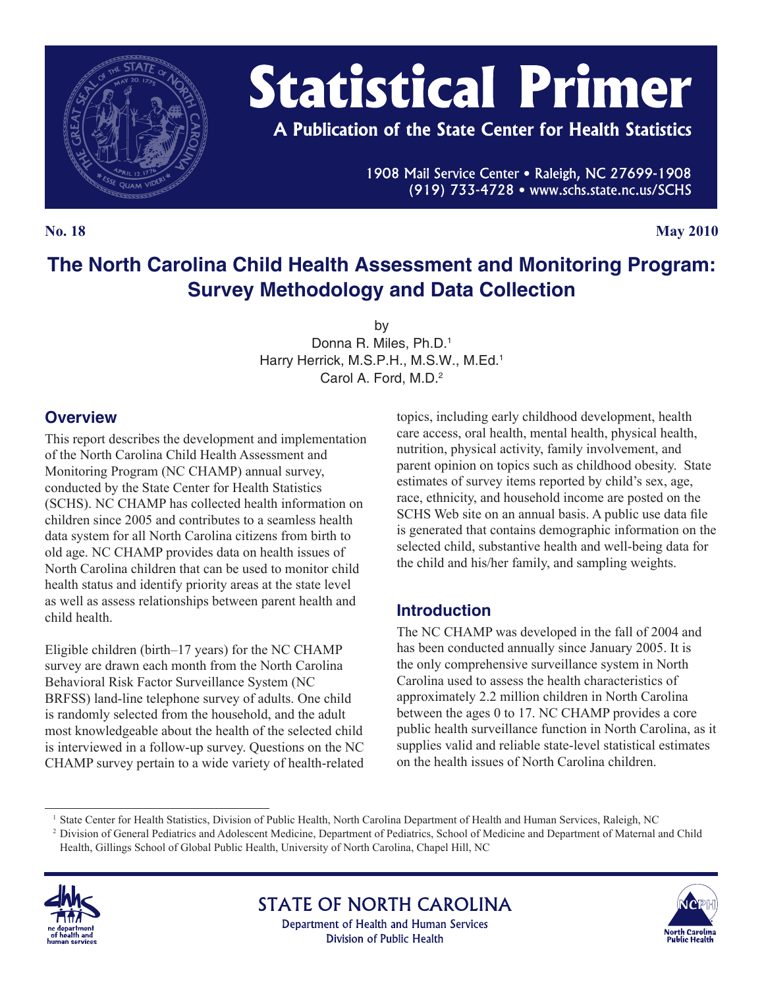

# **Statistical Primer**

A Publication of the State Center for Health Statistics

1908 Mail Service Center . Raleigh, NC 27699-1908 (919) 733-4728 • www.schs.state.nc.us/SCHS

**No. 18 May 2010**

# **The North Carolina Child Health Assessment and Monitoring Program: Survey Methodology and Data Collection**

by

Donna R. Miles, Ph.D.1 Harry Herrick, M.S.P.H., M.S.W., M.Ed.<sup>1</sup> Carol A. Ford, M.D.2

## **Overview**

This report describes the development and implementation of the North Carolina Child Health Assessment and Monitoring Program (NC CHAMP) annual survey, conducted by the State Center for Health Statistics (SCHS). NC CHAMP has collected health information on children since 2005 and contributes to a seamless health data system for all North Carolina citizens from birth to old age. NC CHAMP provides data on health issues of North Carolina children that can be used to monitor child health status and identify priority areas at the state level as well as assess relationships between parent health and child health.

Eligible children (birth–17 years) for the NC CHAMP survey are drawn each month from the North Carolina Behavioral Risk Factor Surveillance System (NC BRFSS) land-line telephone survey of adults. One child is randomly selected from the household, and the adult most knowledgeable about the health of the selected child is interviewed in a follow-up survey. Questions on the NC CHAMP survey pertain to a wide variety of health-related topics, including early childhood development, health care access, oral health, mental health, physical health, nutrition, physical activity, family involvement, and parent opinion on topics such as childhood obesity. State estimates of survey items reported by child's sex, age, race, ethnicity, and household income are posted on the SCHS Web site on an annual basis. A public use data file is generated that contains demographic information on the selected child, substantive health and well-being data for the child and his/her family, and sampling weights.

## **Introduction**

The NC CHAMP was developed in the fall of 2004 and has been conducted annually since January 2005. It is the only comprehensive surveillance system in North Carolina used to assess the health characteristics of approximately 2.2 million children in North Carolina between the ages 0 to 17. NC CHAMP provides a core public health surveillance function in North Carolina, as it supplies valid and reliable state-level statistical estimates on the health issues of North Carolina children.

<sup>2</sup> Division of General Pediatrics and Adolescent Medicine, Department of Pediatrics, School of Medicine and Department of Maternal and Child Health, Gillings School of Global Public Health, University of North Carolina, Chapel Hill, NC



**STATE OF NORTH CAROLINA** Department of Health and Human Services Division of Public Health



<sup>&</sup>lt;sup>1</sup> State Center for Health Statistics, Division of Public Health, North Carolina Department of Health and Human Services, Raleigh, NC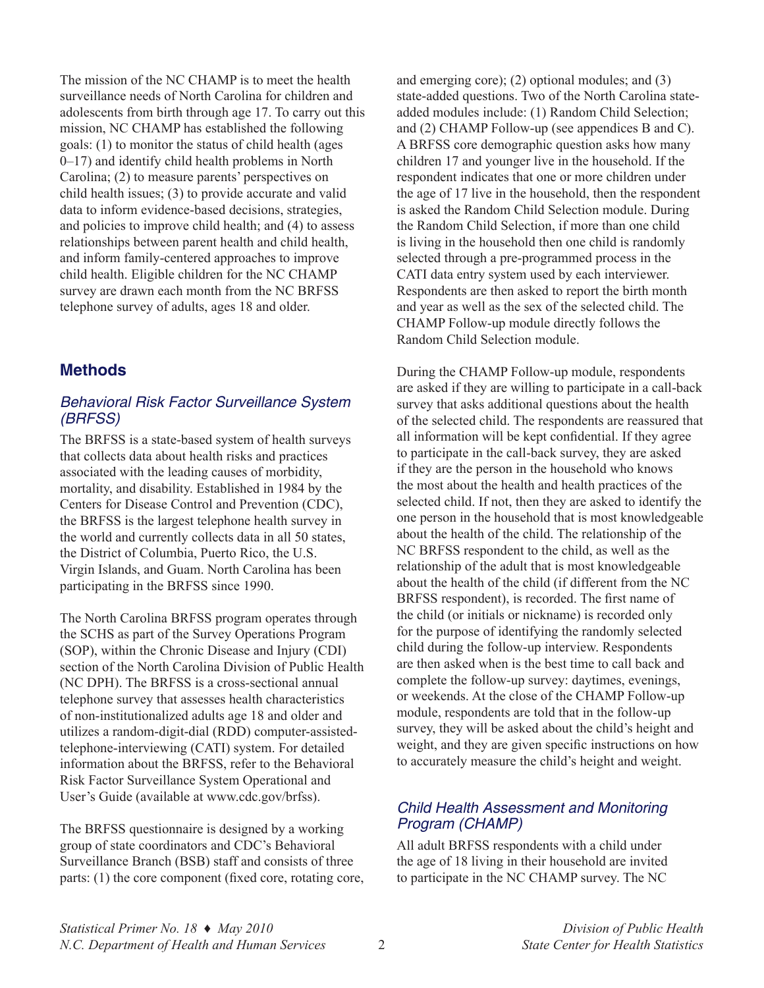The mission of the NC CHAMP is to meet the health surveillance needs of North Carolina for children and adolescents from birth through age 17. To carry out this mission, NC CHAMP has established the following goals: (1) to monitor the status of child health (ages 0–17) and identify child health problems in North Carolina; (2) to measure parents' perspectives on child health issues; (3) to provide accurate and valid data to inform evidence-based decisions, strategies, and policies to improve child health; and (4) to assess relationships between parent health and child health, and inform family-centered approaches to improve child health. Eligible children for the NC CHAMP survey are drawn each month from the NC BRFSS telephone survey of adults, ages 18 and older.

## **Methods**

#### *Behavioral Risk Factor Surveillance System (BRFSS)*

The BRFSS is a state-based system of health surveys that collects data about health risks and practices associated with the leading causes of morbidity, mortality, and disability. Established in 1984 by the Centers for Disease Control and Prevention (CDC), the BRFSS is the largest telephone health survey in the world and currently collects data in all 50 states, the District of Columbia, Puerto Rico, the U.S. Virgin Islands, and Guam. North Carolina has been participating in the BRFSS since 1990.

The North Carolina BRFSS program operates through the SCHS as part of the Survey Operations Program (SOP), within the Chronic Disease and Injury (CDI) section of the North Carolina Division of Public Health (NC DPH). The BRFSS is a cross-sectional annual telephone survey that assesses health characteristics of non-institutionalized adults age 18 and older and utilizes a random-digit-dial (RDD) computer-assistedtelephone-interviewing (CATI) system. For detailed information about the BRFSS, refer to the Behavioral Risk Factor Surveillance System Operational and User's Guide (available at [www.cdc.gov/brfss\)](www.cdc.gov/brfss).

The BRFSS questionnaire is designed by a working group of state coordinators and CDC's Behavioral Surveillance Branch (BSB) staff and consists of three parts: (1) the core component (fixed core, rotating core, and emerging core); (2) optional modules; and (3) state-added questions. Two of the North Carolina stateadded modules include: (1) Random Child Selection; and (2) CHAMP Follow-up (see appendices B and C). A BRFSS core demographic question asks how many children 17 and younger live in the household. If the respondent indicates that one or more children under the age of 17 live in the household, then the respondent is asked the Random Child Selection module. During the Random Child Selection, if more than one child is living in the household then one child is randomly selected through a pre-programmed process in the CATI data entry system used by each interviewer. Respondents are then asked to report the birth month and year as well as the sex of the selected child. The CHAMP Follow-up module directly follows the Random Child Selection module.

During the CHAMP Follow-up module, respondents are asked if they are willing to participate in a call-back survey that asks additional questions about the health of the selected child. The respondents are reassured that all information will be kept confidential. If they agree to participate in the call-back survey, they are asked if they are the person in the household who knows the most about the health and health practices of the selected child. If not, then they are asked to identify the one person in the household that is most knowledgeable about the health of the child. The relationship of the NC BRFSS respondent to the child, as well as the relationship of the adult that is most knowledgeable about the health of the child (if different from the NC BRFSS respondent), is recorded. The first name of the child (or initials or nickname) is recorded only for the purpose of identifying the randomly selected child during the follow-up interview. Respondents are then asked when is the best time to call back and complete the follow-up survey: daytimes, evenings, or weekends. At the close of the CHAMP Follow-up module, respondents are told that in the follow-up survey, they will be asked about the child's height and weight, and they are given specific instructions on how to accurately measure the child's height and weight.

#### *Child Health Assessment and Monitoring Program (CHAMP)*

All adult BRFSS respondents with a child under the age of 18 living in their household are invited to participate in the NC CHAMP survey. The NC

*Statistical Primer No. 18* **♦** *May 2010 Division of Public Health N.C. Department of Health and Human Services* 2 *State Center for Health Statistics*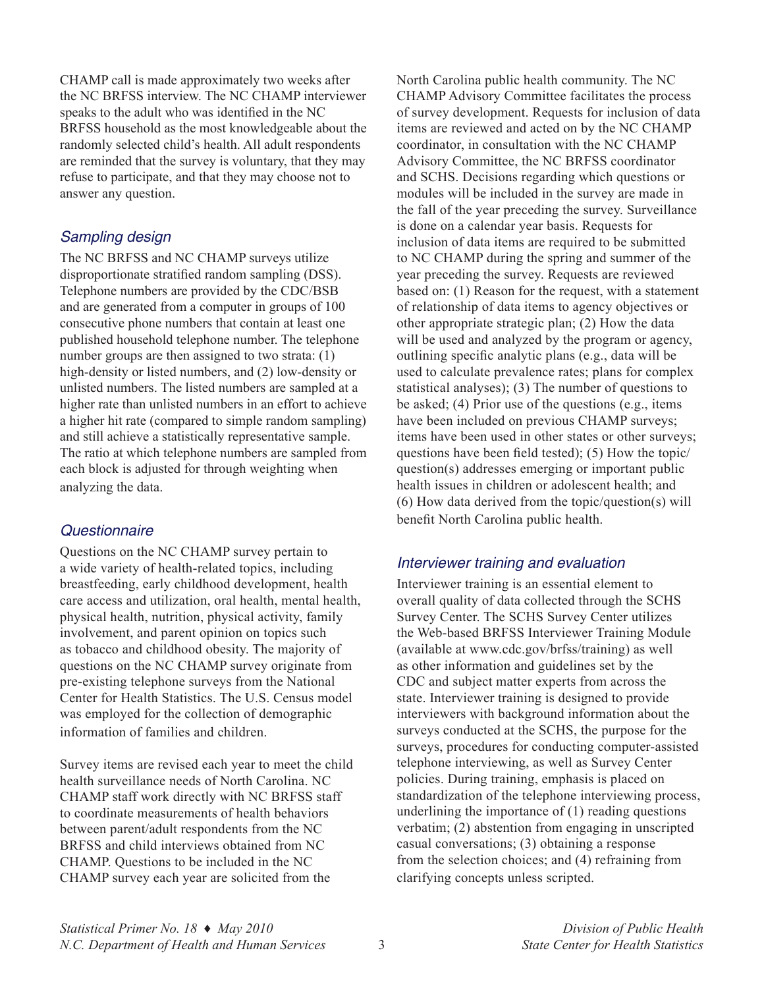CHAMP call is made approximately two weeks after the NC BRFSS interview. The NC CHAMP interviewer speaks to the adult who was identified in the NC BRFSS household as the most knowledgeable about the randomly selected child's health. All adult respondents are reminded that the survey is voluntary, that they may refuse to participate, and that they may choose not to answer any question.

#### *Sampling design*

The NC BRFSS and NC CHAMP surveys utilize disproportionate stratified random sampling (DSS). Telephone numbers are provided by the CDC/BSB and are generated from a computer in groups of 100 consecutive phone numbers that contain at least one published household telephone number. The telephone number groups are then assigned to two strata: (1) high-density or listed numbers, and (2) low-density or unlisted numbers. The listed numbers are sampled at a higher rate than unlisted numbers in an effort to achieve a higher hit rate (compared to simple random sampling) and still achieve a statistically representative sample. The ratio at which telephone numbers are sampled from each block is adjusted for through weighting when analyzing the data.

#### *Questionnaire*

Questions on the NC CHAMP survey pertain to a wide variety of health-related topics, including breastfeeding, early childhood development, health care access and utilization, oral health, mental health, physical health, nutrition, physical activity, family involvement, and parent opinion on topics such as tobacco and childhood obesity. The majority of questions on the NC CHAMP survey originate from pre-existing telephone surveys from the National Center for Health Statistics. The U.S. Census model was employed for the collection of demographic information of families and children.

Survey items are revised each year to meet the child health surveillance needs of North Carolina. NC CHAMP staff work directly with NC BRFSS staff to coordinate measurements of health behaviors between parent/adult respondents from the NC BRFSS and child interviews obtained from NC CHAMP. Questions to be included in the NC CHAMP survey each year are solicited from the

North Carolina public health community. The NC CHAMP Advisory Committee facilitates the process of survey development. Requests for inclusion of data items are reviewed and acted on by the NC CHAMP coordinator, in consultation with the NC CHAMP Advisory Committee, the NC BRFSS coordinator and SCHS. Decisions regarding which questions or modules will be included in the survey are made in the fall of the year preceding the survey. Surveillance is done on a calendar year basis. Requests for inclusion of data items are required to be submitted to NC CHAMP during the spring and summer of the year preceding the survey. Requests are reviewed based on: (1) Reason for the request, with a statement of relationship of data items to agency objectives or other appropriate strategic plan; (2) How the data will be used and analyzed by the program or agency, outlining specific analytic plans (e.g., data will be used to calculate prevalence rates; plans for complex statistical analyses); (3) The number of questions to be asked; (4) Prior use of the questions (e.g., items have been included on previous CHAMP surveys; items have been used in other states or other surveys; questions have been field tested); (5) How the topic/ question(s) addresses emerging or important public health issues in children or adolescent health; and (6) How data derived from the topic/question(s) will benefit North Carolina public health.

#### *Interviewer training and evaluation*

Interviewer training is an essential element to overall quality of data collected through the SCHS Survey Center. The SCHS Survey Center utilizes the Web-based BRFSS Interviewer Training Module (available at<www.cdc.gov/brfss/training>) as well as other information and guidelines set by the CDC and subject matter experts from across the state. Interviewer training is designed to provide interviewers with background information about the surveys conducted at the SCHS, the purpose for the surveys, procedures for conducting computer-assisted telephone interviewing, as well as Survey Center policies. During training, emphasis is placed on standardization of the telephone interviewing process, underlining the importance of (1) reading questions verbatim; (2) abstention from engaging in unscripted casual conversations; (3) obtaining a response from the selection choices; and (4) refraining from clarifying concepts unless scripted.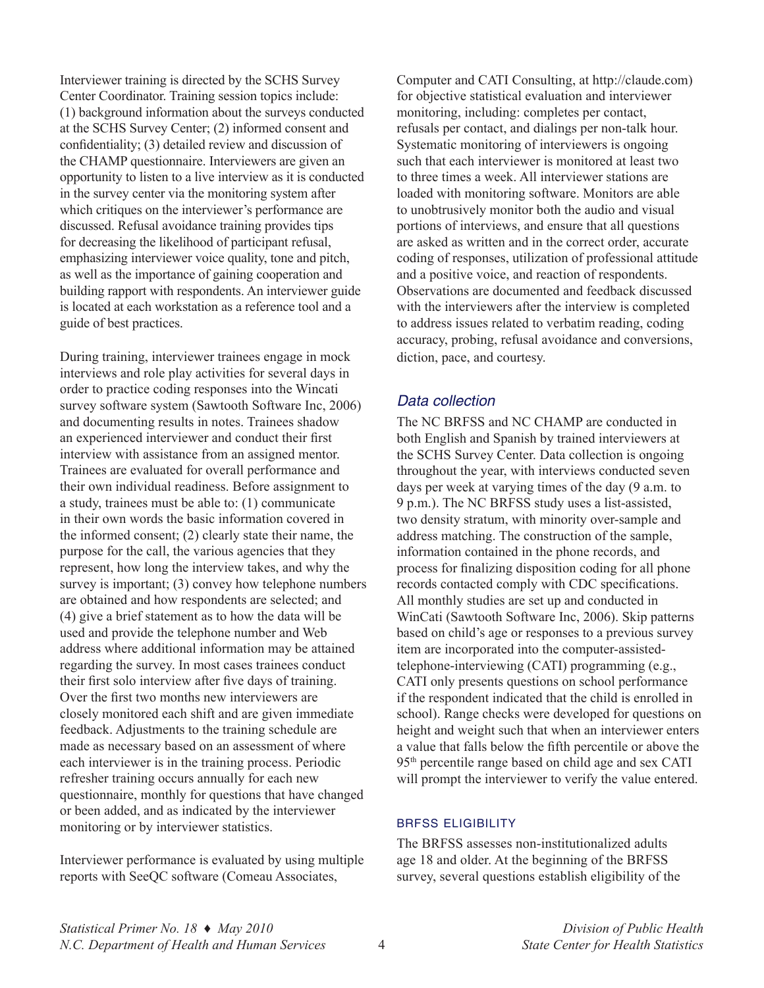Interviewer training is directed by the SCHS Survey Center Coordinator. Training session topics include: (1) background information about the surveys conducted at the SCHS Survey Center; (2) informed consent and confidentiality; (3) detailed review and discussion of the CHAMP questionnaire. Interviewers are given an opportunity to listen to a live interview as it is conducted in the survey center via the monitoring system after which critiques on the interviewer's performance are discussed. Refusal avoidance training provides tips for decreasing the likelihood of participant refusal, emphasizing interviewer voice quality, tone and pitch, as well as the importance of gaining cooperation and building rapport with respondents. An interviewer guide is located at each workstation as a reference tool and a guide of best practices.

During training, interviewer trainees engage in mock interviews and role play activities for several days in order to practice coding responses into the Wincati survey software system (Sawtooth Software Inc, 2006) and documenting results in notes. Trainees shadow an experienced interviewer and conduct their first interview with assistance from an assigned mentor. Trainees are evaluated for overall performance and their own individual readiness. Before assignment to a study, trainees must be able to: (1) communicate in their own words the basic information covered in the informed consent; (2) clearly state their name, the purpose for the call, the various agencies that they represent, how long the interview takes, and why the survey is important; (3) convey how telephone numbers are obtained and how respondents are selected; and (4) give a brief statement as to how the data will be used and provide the telephone number and Web address where additional information may be attained regarding the survey. In most cases trainees conduct their first solo interview after five days of training. Over the first two months new interviewers are closely monitored each shift and are given immediate feedback. Adjustments to the training schedule are made as necessary based on an assessment of where each interviewer is in the training process. Periodic refresher training occurs annually for each new questionnaire, monthly for questions that have changed or been added, and as indicated by the interviewer monitoring or by interviewer statistics.

Interviewer performance is evaluated by using multiple reports with SeeQC software (Comeau Associates,

Computer and CATI Consulting, at [http://claude.com\)](http://claude.com) for objective statistical evaluation and interviewer monitoring, including: completes per contact, refusals per contact, and dialings per non-talk hour. Systematic monitoring of interviewers is ongoing such that each interviewer is monitored at least two to three times a week. All interviewer stations are loaded with monitoring software. Monitors are able to unobtrusively monitor both the audio and visual portions of interviews, and ensure that all questions are asked as written and in the correct order, accurate coding of responses, utilization of professional attitude and a positive voice, and reaction of respondents. Observations are documented and feedback discussed with the interviewers after the interview is completed to address issues related to verbatim reading, coding accuracy, probing, refusal avoidance and conversions, diction, pace, and courtesy.

#### *Data collection*

The NC BRFSS and NC CHAMP are conducted in both English and Spanish by trained interviewers at the SCHS Survey Center. Data collection is ongoing throughout the year, with interviews conducted seven days per week at varying times of the day (9 a.m. to 9 p.m.). The NC BRFSS study uses a list-assisted, two density stratum, with minority over-sample and address matching. The construction of the sample, information contained in the phone records, and process for finalizing disposition coding for all phone records contacted comply with CDC specifications. All monthly studies are set up and conducted in WinCati (Sawtooth Software Inc, 2006). Skip patterns based on child's age or responses to a previous survey item are incorporated into the computer-assistedtelephone-interviewing (CATI) programming (e.g., CATI only presents questions on school performance if the respondent indicated that the child is enrolled in school). Range checks were developed for questions on height and weight such that when an interviewer enters a value that falls below the fifth percentile or above the 95th percentile range based on child age and sex CATI will prompt the interviewer to verify the value entered.

#### brfss eligibility

The BRFSS assesses non-institutionalized adults age 18 and older. At the beginning of the BRFSS survey, several questions establish eligibility of the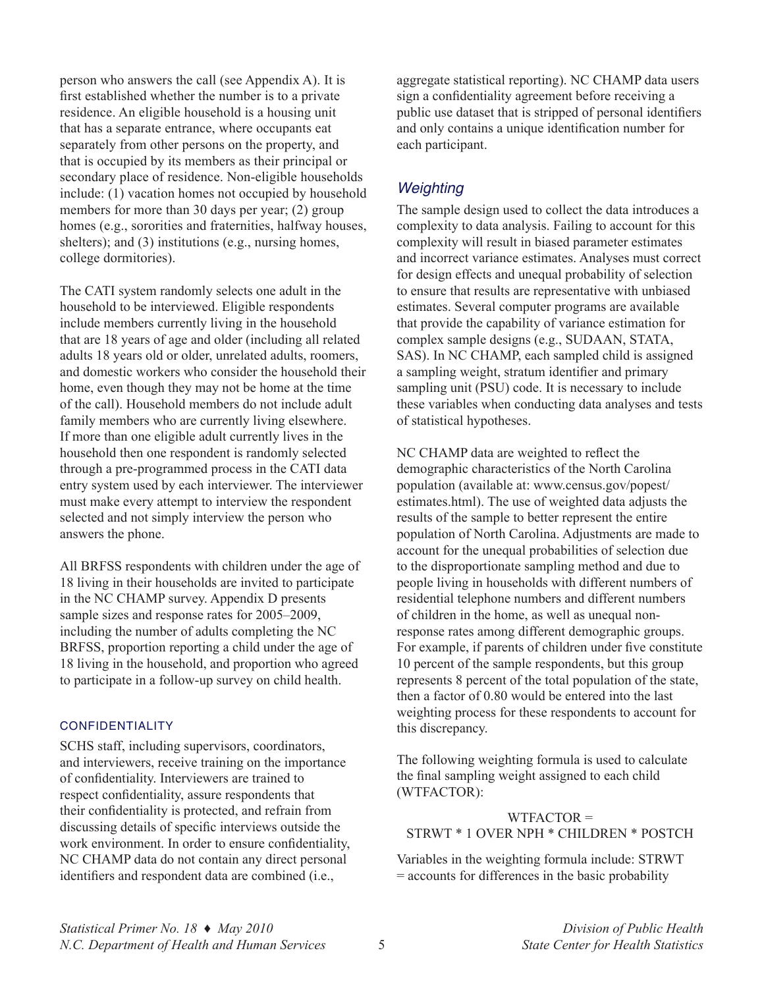person who answers the call (see Appendix A). It is first established whether the number is to a private residence. An eligible household is a housing unit that has a separate entrance, where occupants eat separately from other persons on the property, and that is occupied by its members as their principal or secondary place of residence. Non-eligible households include: (1) vacation homes not occupied by household members for more than 30 days per year; (2) group homes (e.g., sororities and fraternities, halfway houses, shelters); and (3) institutions (e.g., nursing homes, college dormitories).

The CATI system randomly selects one adult in the household to be interviewed. Eligible respondents include members currently living in the household that are 18 years of age and older (including all related adults 18 years old or older, unrelated adults, roomers, and domestic workers who consider the household their home, even though they may not be home at the time of the call). Household members do not include adult family members who are currently living elsewhere. If more than one eligible adult currently lives in the household then one respondent is randomly selected through a pre-programmed process in the CATI data entry system used by each interviewer. The interviewer must make every attempt to interview the respondent selected and not simply interview the person who answers the phone.

All BRFSS respondents with children under the age of 18 living in their households are invited to participate in the NC CHAMP survey. Appendix D presents sample sizes and response rates for 2005–2009, including the number of adults completing the NC BRFSS, proportion reporting a child under the age of 18 living in the household, and proportion who agreed to participate in a follow-up survey on child health.

#### **CONFIDENTIALITY**

SCHS staff, including supervisors, coordinators, and interviewers, receive training on the importance of confidentiality. Interviewers are trained to respect confidentiality, assure respondents that their confidentiality is protected, and refrain from discussing details of specific interviews outside the work environment. In order to ensure confidentiality, NC CHAMP data do not contain any direct personal identifiers and respondent data are combined (i.e.,

aggregate statistical reporting). NC CHAMP data users sign a confidentiality agreement before receiving a public use dataset that is stripped of personal identifiers and only contains a unique identification number for each participant.

#### *Weighting*

The sample design used to collect the data introduces a complexity to data analysis. Failing to account for this complexity will result in biased parameter estimates and incorrect variance estimates. Analyses must correct for design effects and unequal probability of selection to ensure that results are representative with unbiased estimates. Several computer programs are available that provide the capability of variance estimation for complex sample designs (e.g., SUDAAN, STATA, SAS). In NC CHAMP, each sampled child is assigned a sampling weight, stratum identifier and primary sampling unit (PSU) code. It is necessary to include these variables when conducting data analyses and tests of statistical hypotheses.

NC CHAMP data are weighted to reflect the demographic characteristics of the North Carolina population (available at: [www.census.gov/popest/](www.census.gov/popest/estimates.html) [estimates.html\)](www.census.gov/popest/estimates.html). The use of weighted data adjusts the results of the sample to better represent the entire population of North Carolina. Adjustments are made to account for the unequal probabilities of selection due to the disproportionate sampling method and due to people living in households with different numbers of residential telephone numbers and different numbers of children in the home, as well as unequal nonresponse rates among different demographic groups. For example, if parents of children under five constitute 10 percent of the sample respondents, but this group represents 8 percent of the total population of the state, then a factor of 0.80 would be entered into the last weighting process for these respondents to account for this discrepancy.

The following weighting formula is used to calculate the final sampling weight assigned to each child (WTFACTOR):

WTFACTOR = STRWT \* 1 OVER NPH \* CHILDREN \* POSTCH

Variables in the weighting formula include: STRWT = accounts for differences in the basic probability

*Statistical Primer No. 18* **♦** *May 2010 Division of Public Health N.C. Department of Health and Human Services* 5 *State Center for Health Statistics*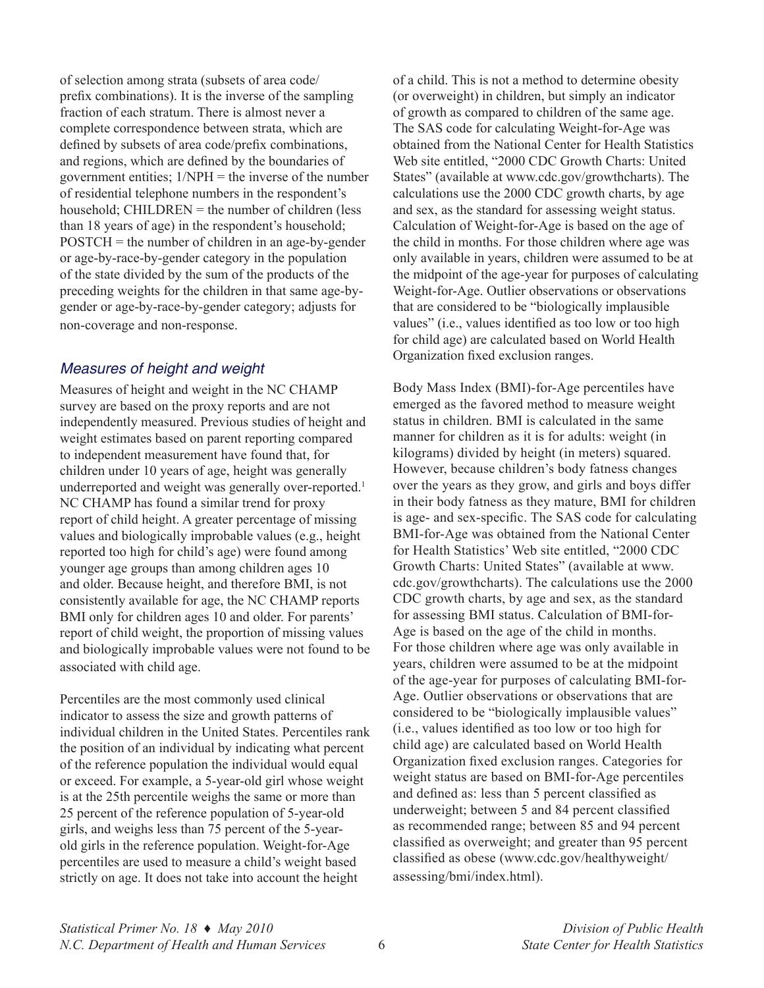of selection among strata (subsets of area code/ prefix combinations). It is the inverse of the sampling fraction of each stratum. There is almost never a complete correspondence between strata, which are defined by subsets of area code/prefix combinations, and regions, which are defined by the boundaries of government entities;  $1/NPH$  = the inverse of the number of residential telephone numbers in the respondent's household; CHILDREN = the number of children (less than 18 years of age) in the respondent's household; POSTCH = the number of children in an age-by-gender or age-by-race-by-gender category in the population of the state divided by the sum of the products of the preceding weights for the children in that same age-bygender or age-by-race-by-gender category; adjusts for non-coverage and non-response.

#### *Measures of height and weight*

Measures of height and weight in the NC CHAMP survey are based on the proxy reports and are not independently measured. Previous studies of height and weight estimates based on parent reporting compared to independent measurement have found that, for children under 10 years of age, height was generally underreported and weight was generally over-reported.<sup>1</sup> NC CHAMP has found a similar trend for proxy report of child height. A greater percentage of missing values and biologically improbable values (e.g., height reported too high for child's age) were found among younger age groups than among children ages 10 and older. Because height, and therefore BMI, is not consistently available for age, the NC CHAMP reports BMI only for children ages 10 and older. For parents' report of child weight, the proportion of missing values and biologically improbable values were not found to be associated with child age.

Percentiles are the most commonly used clinical indicator to assess the size and growth patterns of individual children in the United States. Percentiles rank the position of an individual by indicating what percent of the reference population the individual would equal or exceed. For example, a 5-year-old girl whose weight is at the 25th percentile weighs the same or more than 25 percent of the reference population of 5-year-old girls, and weighs less than 75 percent of the 5-yearold girls in the reference population. Weight-for-Age percentiles are used to measure a child's weight based strictly on age. It does not take into account the height

of a child. This is not a method to determine obesity (or overweight) in children, but simply an indicator of growth as compared to children of the same age. The SAS code for calculating Weight-for-Age was obtained from the National Center for Health Statistics Web site entitled, "2000 CDC Growth Charts: United States" (available at [www.cdc.gov/growthcharts\)](www.cdc.gov/growthcharts). The calculations use the 2000 CDC growth charts, by age and sex, as the standard for assessing weight status. Calculation of Weight-for-Age is based on the age of the child in months. For those children where age was only available in years, children were assumed to be at the midpoint of the age-year for purposes of calculating Weight-for-Age. Outlier observations or observations that are considered to be "biologically implausible values" (i.e., values identified as too low or too high for child age) are calculated based on World Health Organization fixed exclusion ranges.

Body Mass Index (BMI)-for-Age percentiles have emerged as the favored method to measure weight status in children. BMI is calculated in the same manner for children as it is for adults: weight (in kilograms) divided by height (in meters) squared. However, because children's body fatness changes over the years as they grow, and girls and boys differ in their body fatness as they mature, BMI for children is age- and sex-specific. The SAS code for calculating BMI-for-Age was obtained from the National Center for Health Statistics' Web site entitled, "2000 CDC Growth Charts: United States" (available at [www.](www.cdc.gov/growthcharts) [cdc.gov/growthcharts](www.cdc.gov/growthcharts)). The calculations use the 2000 CDC growth charts, by age and sex, as the standard for assessing BMI status. Calculation of BMI-for-Age is based on the age of the child in months. For those children where age was only available in years, children were assumed to be at the midpoint of the age-year for purposes of calculating BMI-for-Age. Outlier observations or observations that are considered to be "biologically implausible values" (i.e., values identified as too low or too high for child age) are calculated based on World Health Organization fixed exclusion ranges. Categories for weight status are based on BMI-for-Age percentiles and defined as: less than 5 percent classified as underweight; between 5 and 84 percent classified as recommended range; between 85 and 94 percent classified as overweight; and greater than 95 percent classified as obese ([www.cdc.gov/healthyweight/](www.cdc.gov/healthyweight/assessing/bmi/index.html) [assessing/bmi/index.html](www.cdc.gov/healthyweight/assessing/bmi/index.html)).

*Statistical Primer No. 18* **♦** *May 2010 Division of Public Health N.C. Department of Health and Human Services* 6 *State Center for Health Statistics*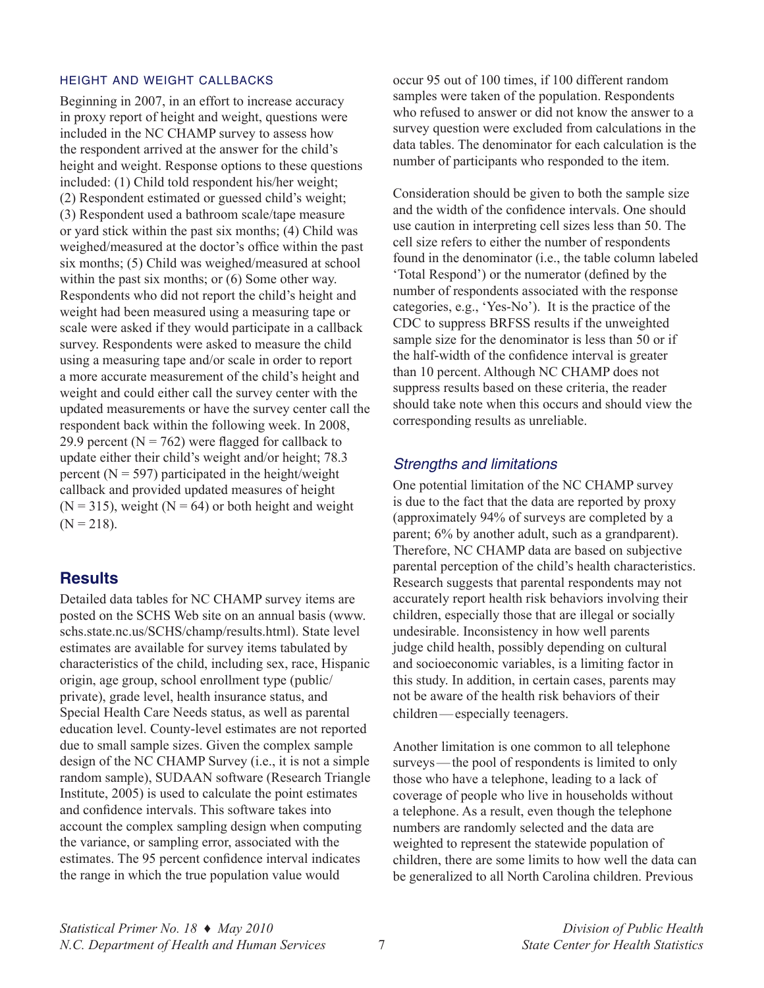#### height and weight callbacks

Beginning in 2007, in an effort to increase accuracy in proxy report of height and weight, questions were included in the NC CHAMP survey to assess how the respondent arrived at the answer for the child's height and weight. Response options to these questions included: (1) Child told respondent his/her weight; (2) Respondent estimated or guessed child's weight; (3) Respondent used a bathroom scale/tape measure or yard stick within the past six months; (4) Child was weighed/measured at the doctor's office within the past six months; (5) Child was weighed/measured at school within the past six months; or  $(6)$  Some other way. Respondents who did not report the child's height and weight had been measured using a measuring tape or scale were asked if they would participate in a callback survey. Respondents were asked to measure the child using a measuring tape and/or scale in order to report a more accurate measurement of the child's height and weight and could either call the survey center with the updated measurements or have the survey center call the respondent back within the following week. In 2008, 29.9 percent ( $N = 762$ ) were flagged for callback to update either their child's weight and/or height; 78.3 percent ( $N = 597$ ) participated in the height/weight callback and provided updated measures of height  $(N = 315)$ , weight  $(N = 64)$  or both height and weight  $(N = 218)$ .

## **Results**

Detailed data tables for NC CHAMP survey items are posted on the SCHS Web site on an annual basis ([www.](www.schs.state.nc.us/SCHS/champ/results.html) [schs.state.nc.us/SCHS/champ/results.html](www.schs.state.nc.us/SCHS/champ/results.html)). State level estimates are available for survey items tabulated by characteristics of the child, including sex, race, Hispanic origin, age group, school enrollment type (public/ private), grade level, health insurance status, and Special Health Care Needs status, as well as parental education level. County-level estimates are not reported due to small sample sizes. Given the complex sample design of the NC CHAMP Survey (i.e., it is not a simple random sample), SUDAAN software (Research Triangle Institute, 2005) is used to calculate the point estimates and confidence intervals. This software takes into account the complex sampling design when computing the variance, or sampling error, associated with the estimates. The 95 percent confidence interval indicates the range in which the true population value would

occur 95 out of 100 times, if 100 different random samples were taken of the population. Respondents who refused to answer or did not know the answer to a survey question were excluded from calculations in the data tables. The denominator for each calculation is the number of participants who responded to the item.

Consideration should be given to both the sample size and the width of the confidence intervals. One should use caution in interpreting cell sizes less than 50. The cell size refers to either the number of respondents found in the denominator (i.e., the table column labeled 'Total Respond') or the numerator (defined by the number of respondents associated with the response categories, e.g., 'Yes-No'). It is the practice of the CDC to suppress BRFSS results if the unweighted sample size for the denominator is less than 50 or if the half-width of the confidence interval is greater than 10 percent. Although NC CHAMP does not suppress results based on these criteria, the reader should take note when this occurs and should view the corresponding results as unreliable.

#### *Strengths and limitations*

One potential limitation of the NC CHAMP survey is due to the fact that the data are reported by proxy (approximately 94% of surveys are completed by a parent; 6% by another adult, such as a grandparent). Therefore, NC CHAMP data are based on subjective parental perception of the child's health characteristics. Research suggests that parental respondents may not accurately report health risk behaviors involving their children, especially those that are illegal or socially undesirable. Inconsistency in how well parents judge child health, possibly depending on cultural and socioeconomic variables, is a limiting factor in this study. In addition, in certain cases, parents may not be aware of the health risk behaviors of their children—especially teenagers.

Another limitation is one common to all telephone surveys—the pool of respondents is limited to only those who have a telephone, leading to a lack of coverage of people who live in households without a telephone. As a result, even though the telephone numbers are randomly selected and the data are weighted to represent the statewide population of children, there are some limits to how well the data can be generalized to all North Carolina children. Previous

*Statistical Primer No. 18* **♦** *May 2010 Division of Public Health N.C. Department of Health and Human Services* 7 *State Center for Health Statistics*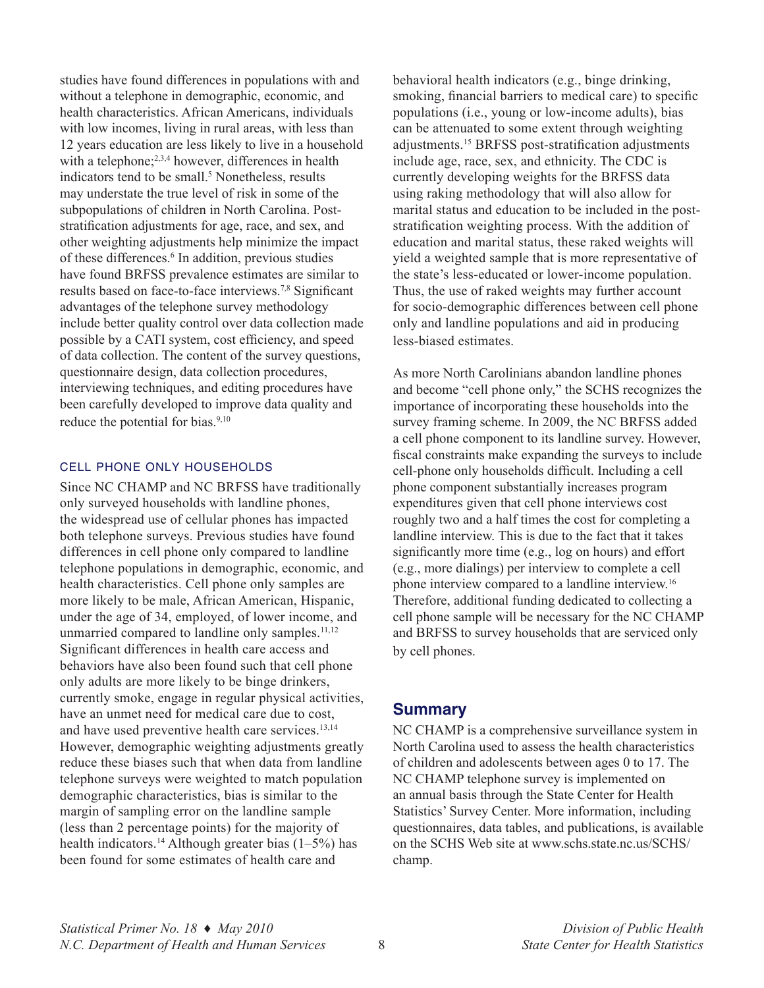studies have found differences in populations with and without a telephone in demographic, economic, and health characteristics. African Americans, individuals with low incomes, living in rural areas, with less than 12 years education are less likely to live in a household with a telephone;<sup>2,3,4</sup> however, differences in health indicators tend to be small.<sup>5</sup> Nonetheless, results may understate the true level of risk in some of the subpopulations of children in North Carolina. Poststratification adjustments for age, race, and sex, and other weighting adjustments help minimize the impact of these differences.<sup>6</sup> In addition, previous studies have found BRFSS prevalence estimates are similar to results based on face-to-face interviews.7,8 Significant advantages of the telephone survey methodology include better quality control over data collection made possible by a CATI system, cost efficiency, and speed of data collection. The content of the survey questions, questionnaire design, data collection procedures, interviewing techniques, and editing procedures have been carefully developed to improve data quality and reduce the potential for bias.<sup>9,10</sup>

#### cell phone only households

Since NC CHAMP and NC BRFSS have traditionally only surveyed households with landline phones, the widespread use of cellular phones has impacted both telephone surveys. Previous studies have found differences in cell phone only compared to landline telephone populations in demographic, economic, and health characteristics. Cell phone only samples are more likely to be male, African American, Hispanic, under the age of 34, employed, of lower income, and unmarried compared to landline only samples. $11,12$ Significant differences in health care access and behaviors have also been found such that cell phone only adults are more likely to be binge drinkers, currently smoke, engage in regular physical activities, have an unmet need for medical care due to cost, and have used preventive health care services.<sup>13,14</sup> However, demographic weighting adjustments greatly reduce these biases such that when data from landline telephone surveys were weighted to match population demographic characteristics, bias is similar to the margin of sampling error on the landline sample (less than 2 percentage points) for the majority of health indicators.<sup>14</sup> Although greater bias  $(1-5\%)$  has been found for some estimates of health care and

behavioral health indicators (e.g., binge drinking, smoking, financial barriers to medical care) to specific populations (i.e., young or low-income adults), bias can be attenuated to some extent through weighting adjustments.15 BRFSS post-stratification adjustments include age, race, sex, and ethnicity. The CDC is currently developing weights for the BRFSS data using raking methodology that will also allow for marital status and education to be included in the poststratification weighting process. With the addition of education and marital status, these raked weights will yield a weighted sample that is more representative of the state's less-educated or lower-income population. Thus, the use of raked weights may further account for socio-demographic differences between cell phone only and landline populations and aid in producing less-biased estimates.

As more North Carolinians abandon landline phones and become "cell phone only," the SCHS recognizes the importance of incorporating these households into the survey framing scheme. In 2009, the NC BRFSS added a cell phone component to its landline survey. However, fiscal constraints make expanding the surveys to include cell-phone only households difficult. Including a cell phone component substantially increases program expenditures given that cell phone interviews cost roughly two and a half times the cost for completing a landline interview. This is due to the fact that it takes significantly more time (e.g., log on hours) and effort (e.g., more dialings) per interview to complete a cell phone interview compared to a landline interview.16 Therefore, additional funding dedicated to collecting a cell phone sample will be necessary for the NC CHAMP and BRFSS to survey households that are serviced only by cell phones.

#### **Summary**

NC CHAMP is a comprehensive surveillance system in North Carolina used to assess the health characteristics of children and adolescents between ages 0 to 17. The NC CHAMP telephone survey is implemented on an annual basis through the State Center for Health Statistics' Survey Center. More information, including questionnaires, data tables, and publications, is available on the SCHS Web site at [www.schs.state.nc.us/SCHS/](www.schs.state.nc.us/SCHS/champ) [champ](www.schs.state.nc.us/SCHS/champ).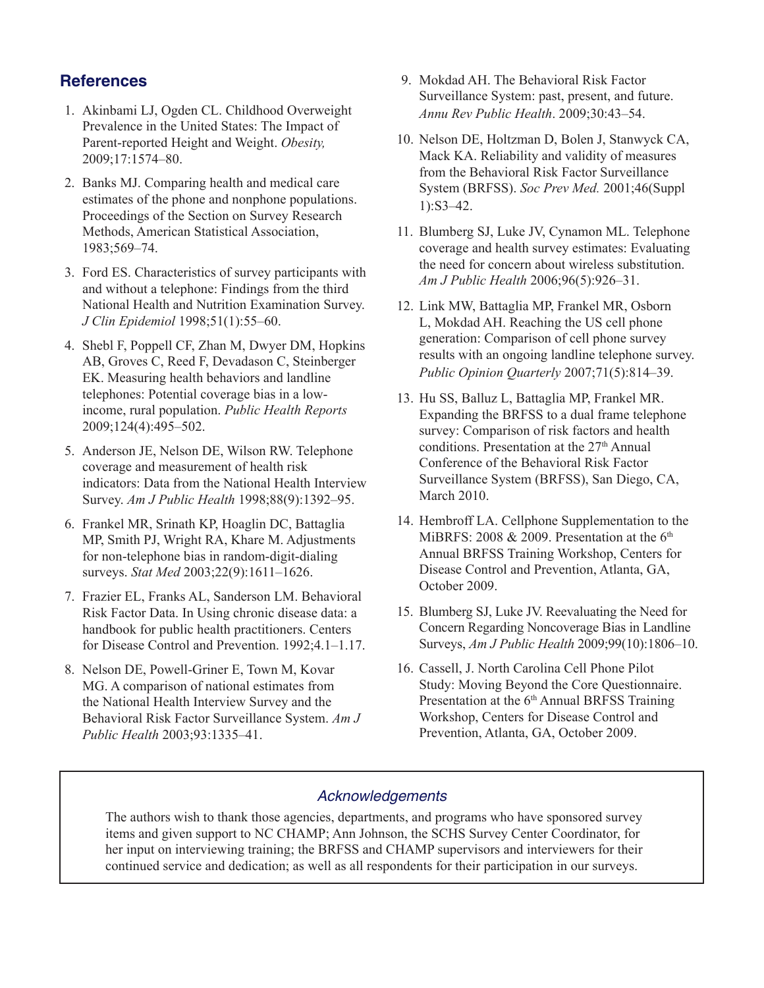## **References**

- 1. Akinbami LJ, Ogden CL. Childhood Overweight Prevalence in the United States: The Impact of Parent-reported Height and Weight. *Obesity,*  2009;17:1574–80.
- 2. Banks MJ. Comparing health and medical care estimates of the phone and nonphone populations. Proceedings of the Section on Survey Research Methods, American Statistical Association, 1983;569–74.
- 3. Ford ES. Characteristics of survey participants with and without a telephone: Findings from the third National Health and Nutrition Examination Survey. *J Clin Epidemiol* 1998;51(1):55–60.
- 4. Shebl F, Poppell CF, Zhan M, Dwyer DM, Hopkins AB, Groves C, Reed F, Devadason C, Steinberger EK. Measuring health behaviors and landline telephones: Potential coverage bias in a lowincome, rural population. *Public Health Reports*  2009;124(4):495–502.
- 5. Anderson JE, Nelson DE, Wilson RW. Telephone coverage and measurement of health risk indicators: Data from the National Health Interview Survey. *Am J Public Health* 1998;88(9):1392–95.
- 6. Frankel MR, Srinath KP, Hoaglin DC, Battaglia MP, Smith PJ, Wright RA, Khare M. Adjustments for non-telephone bias in random-digit-dialing surveys. *Stat Med* 2003;22(9):1611–1626.
- 7. Frazier EL, Franks AL, Sanderson LM. Behavioral Risk Factor Data. In Using chronic disease data: a handbook for public health practitioners. Centers for Disease Control and Prevention. 1992;4.1–1.17.
- 8. Nelson DE, Powell-Griner E, Town M, Kovar MG. A comparison of national estimates from the National Health Interview Survey and the Behavioral Risk Factor Surveillance System. *Am J Public Health* 2003;93:1335–41.
- 9. Mokdad AH. The Behavioral Risk Factor Surveillance System: past, present, and future. *Annu Rev Public Health*. 2009;30:43–54.
- 10. Nelson DE, Holtzman D, Bolen J, Stanwyck CA, Mack KA. Reliability and validity of measures from the Behavioral Risk Factor Surveillance System (BRFSS). *Soc Prev Med.* 2001;46(Suppl 1):S3–42.
- 11. Blumberg SJ, Luke JV, Cynamon ML. Telephone coverage and health survey estimates: Evaluating the need for concern about wireless substitution. *Am J Public Health* 2006;96(5):926–31.
- 12. Link MW, Battaglia MP, Frankel MR, Osborn L, Mokdad AH. Reaching the US cell phone generation: Comparison of cell phone survey results with an ongoing landline telephone survey. *Public Opinion Quarterly* 2007;71(5):814–39.
- 13. Hu SS, Balluz L, Battaglia MP, Frankel MR. Expanding the BRFSS to a dual frame telephone survey: Comparison of risk factors and health conditions. Presentation at the  $27<sup>th</sup>$  Annual Conference of the Behavioral Risk Factor Surveillance System (BRFSS), San Diego, CA, March 2010.
- 14. Hembroff LA. Cellphone Supplementation to the MiBRFS: 2008 & 2009. Presentation at the  $6<sup>th</sup>$ Annual BRFSS Training Workshop, Centers for Disease Control and Prevention, Atlanta, GA, October 2009.
- 15. Blumberg SJ, Luke JV. Reevaluating the Need for Concern Regarding Noncoverage Bias in Landline Surveys, *Am J Public Health* 2009;99(10):1806–10.
- 16. Cassell, J. North Carolina Cell Phone Pilot Study: Moving Beyond the Core Questionnaire. Presentation at the 6<sup>th</sup> Annual BRFSS Training Workshop, Centers for Disease Control and Prevention, Atlanta, GA, October 2009.

## *Acknowledgements*

The authors wish to thank those agencies, departments, and programs who have sponsored survey items and given support to NC CHAMP; Ann Johnson, the SCHS Survey Center Coordinator, for her input on interviewing training; the BRFSS and CHAMP supervisors and interviewers for their continued service and dedication; as well as all respondents for their participation in our surveys.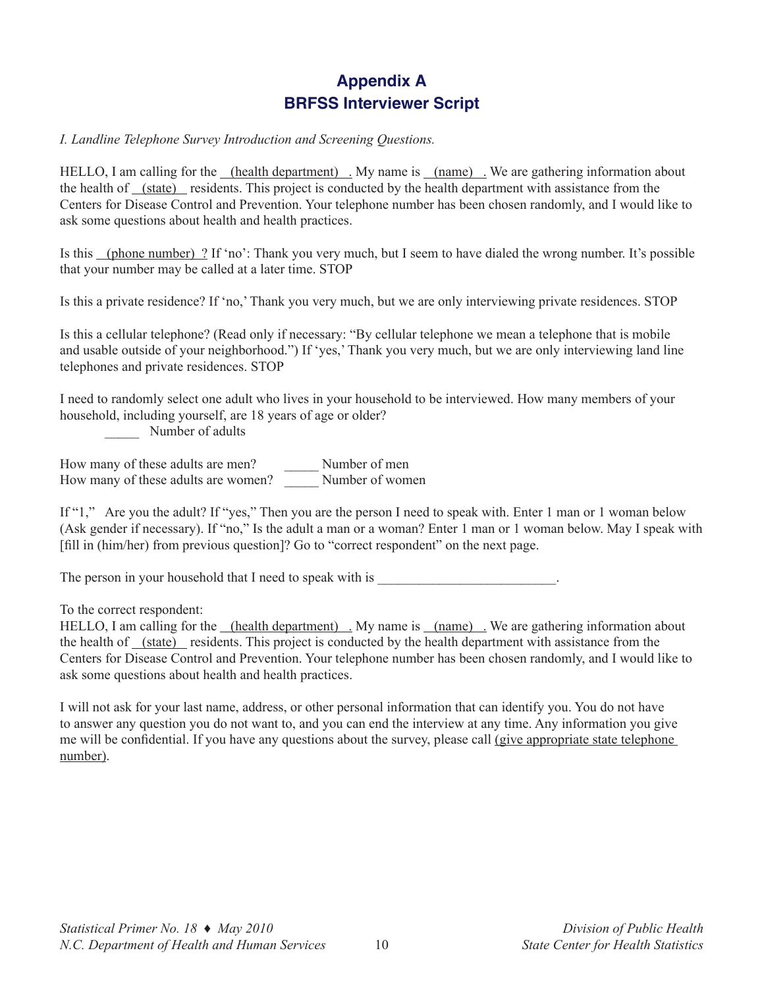## **Appendix A BRFSS Interviewer Script**

#### *I. Landline Telephone Survey Introduction and Screening Questions.*

HELLO, I am calling for the (health department). My name is (name). We are gathering information about the health of (state) residents. This project is conducted by the health department with assistance from the Centers for Disease Control and Prevention. Your telephone number has been chosen randomly, and I would like to ask some questions about health and health practices.

Is this (phone number) ? If 'no': Thank you very much, but I seem to have dialed the wrong number. It's possible that your number may be called at a later time. STOP

Is this a private residence? If 'no,' Thank you very much, but we are only interviewing private residences. STOP

Is this a cellular telephone? (Read only if necessary: "By cellular telephone we mean a telephone that is mobile and usable outside of your neighborhood.") If 'yes,' Thank you very much, but we are only interviewing land line telephones and private residences. STOP

I need to randomly select one adult who lives in your household to be interviewed. How many members of your household, including yourself, are 18 years of age or older?

Number of adults

How many of these adults are men? \_\_\_\_\_\_\_\_ Number of men How many of these adults are women? \_\_\_\_\_ Number of women

If "1," Are you the adult? If "yes," Then you are the person I need to speak with. Enter 1 man or 1 woman below (Ask gender if necessary). If "no," Is the adult a man or a woman? Enter 1 man or 1 woman below. May I speak with [fill in (him/her) from previous question]? Go to "correct respondent" on the next page.

The person in your household that I need to speak with is

To the correct respondent:

HELLO, I am calling for the <u>(health department)</u> . My name is <u>(name)</u> We are gathering information about the health of (state) residents. This project is conducted by the health department with assistance from the Centers for Disease Control and Prevention. Your telephone number has been chosen randomly, and I would like to ask some questions about health and health practices.

I will not ask for your last name, address, or other personal information that can identify you. You do not have to answer any question you do not want to, and you can end the interview at any time. Any information you give me will be confidential. If you have any questions about the survey, please call (give appropriate state telephone number).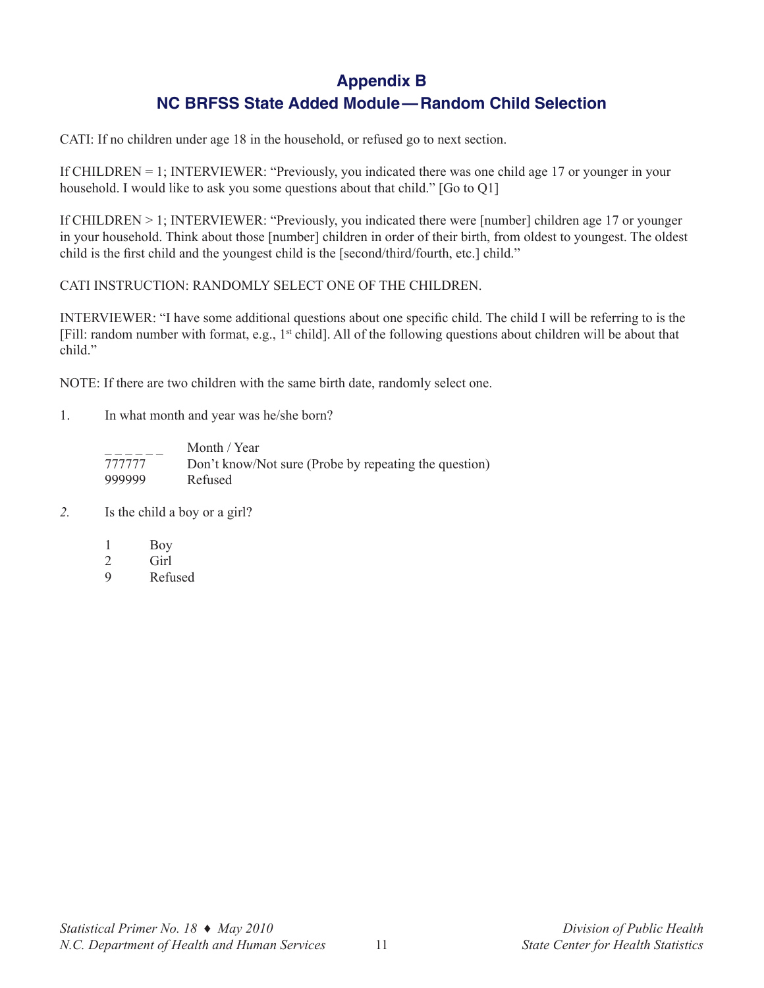# **Appendix B**

## **NC BRFSS State Added Module—Random Child Selection**

CATI: If no children under age 18 in the household, or refused go to next section.

If CHILDREN = 1; INTERVIEWER: "Previously, you indicated there was one child age 17 or younger in your household. I would like to ask you some questions about that child." [Go to Q1]

If CHILDREN > 1; INTERVIEWER: "Previously, you indicated there were [number] children age 17 or younger in your household. Think about those [number] children in order of their birth, from oldest to youngest. The oldest child is the first child and the youngest child is the [second/third/fourth, etc.] child."

CATI INSTRUCTION: RANDOMLY SELECT ONE OF THE CHILDREN.

INTERVIEWER: "I have some additional questions about one specific child. The child I will be referring to is the [Fill: random number with format, e.g., 1<sup>st</sup> child]. All of the following questions about children will be about that child."

NOTE: If there are two children with the same birth date, randomly select one.

1. In what month and year was he/she born?

|        | Month / Year                                          |
|--------|-------------------------------------------------------|
| 777777 | Don't know/Not sure (Probe by repeating the question) |
| 999999 | Refused                                               |

- *2.* Is the child a boy or a girl?
	- 1 Boy
	- 2 Girl
	- 9 Refused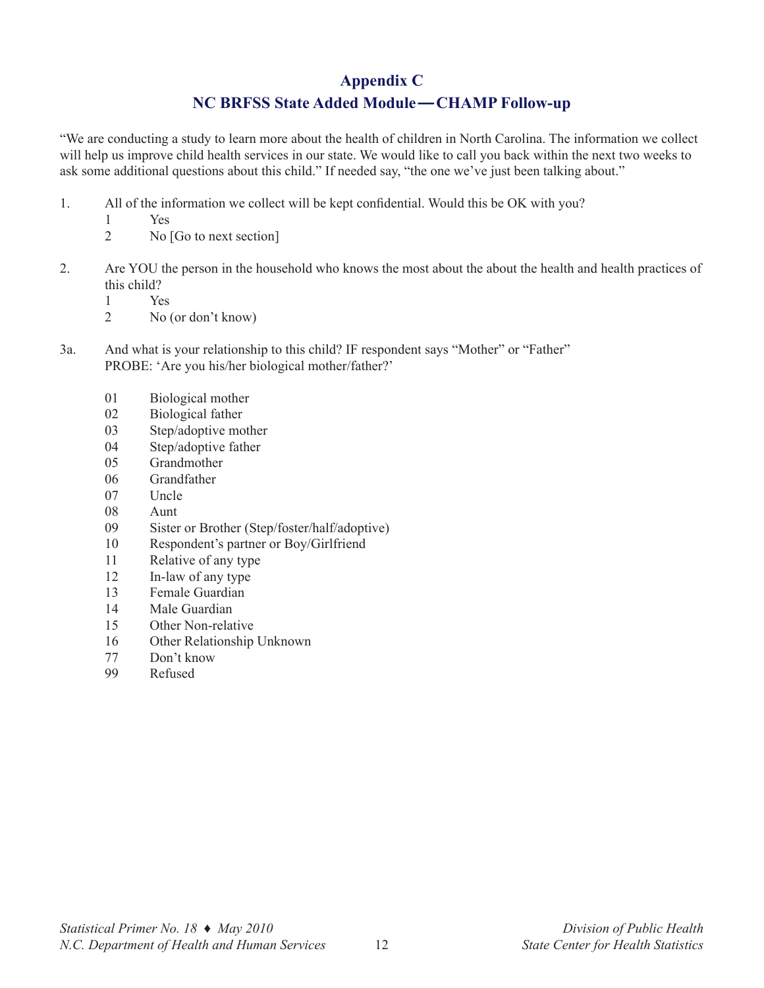## **Appendix C**

## **NC BRFSS State Added Module—CHAMP Follow-up**

"We are conducting a study to learn more about the health of children in North Carolina. The information we collect will help us improve child health services in our state. We would like to call you back within the next two weeks to ask some additional questions about this child." If needed say, "the one we've just been talking about."

- 1. All of the information we collect will be kept confidential. Would this be OK with you?
	- 1 Yes
	- 2 No [Go to next section]
- 2. Are YOU the person in the household who knows the most about the about the health and health practices of this child?
	- 1 Yes
	- 2 No (or don't know)
- 3a. And what is your relationship to this child? IF respondent says "Mother" or "Father" PROBE: 'Are you his/her biological mother/father?'
	- 01 Biological mother
	- 02 Biological father
	- 03 Step/adoptive mother
	- 04 Step/adoptive father
	- 05 Grandmother
	- 06 Grandfather
	- 07 Uncle
	- 08 Aunt
	- 09 Sister or Brother (Step/foster/half/adoptive)
	- 10 Respondent's partner or Boy/Girlfriend
	- 11 Relative of any type
	- 12 In-law of any type
	- 13 Female Guardian
	- 14 Male Guardian
	- 15 Other Non-relative
	- 16 Other Relationship Unknown
	- 77 Don't know
	- 99 Refused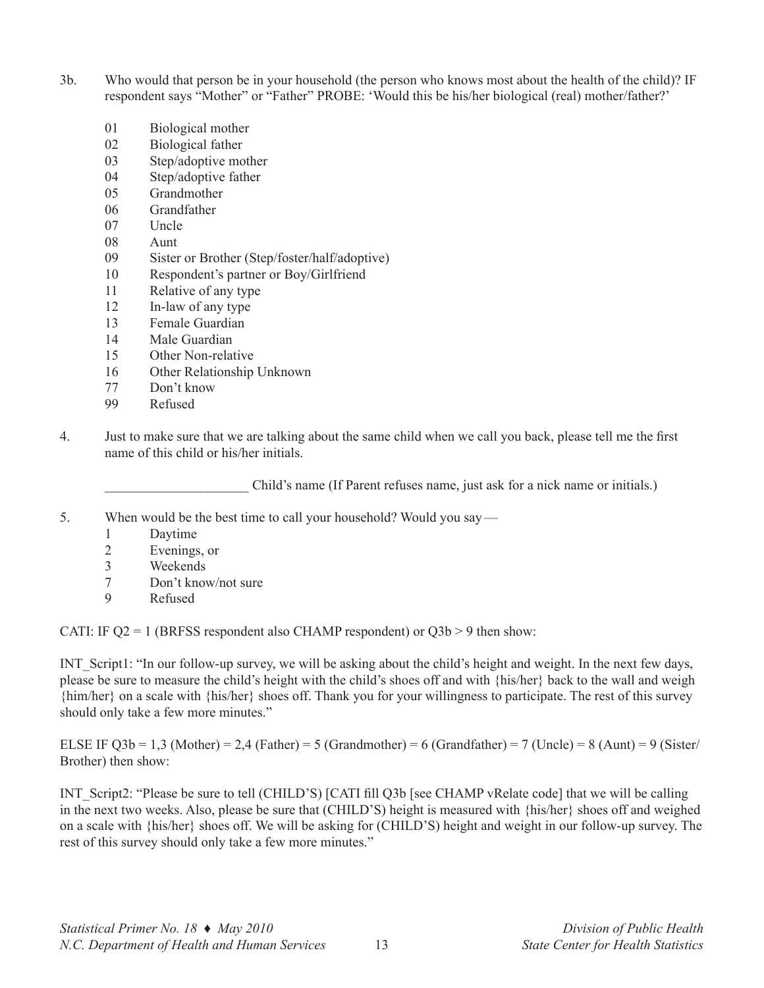- 3b. Who would that person be in your household (the person who knows most about the health of the child)? IF respondent says "Mother" or "Father" PROBE: 'Would this be his/her biological (real) mother/father?'
	- 01 Biological mother
	- 02 Biological father
	- 03 Step/adoptive mother
	- 04 Step/adoptive father
	- 05 Grandmother
	- 06 Grandfather
	- 07 Uncle
	- 08 Aunt
	- 09 Sister or Brother (Step/foster/half/adoptive)
	- 10 Respondent's partner or Boy/Girlfriend
	- 11 Relative of any type
	- 12 In-law of any type
	- 13 Female Guardian
	- 14 Male Guardian
	- 15 Other Non-relative
	- 16 Other Relationship Unknown
	- 77 Don't know
	- 99 Refused
- 4. Just to make sure that we are talking about the same child when we call you back, please tell me the first name of this child or his/her initials.

Child's name (If Parent refuses name, just ask for a nick name or initials.)

- 5. When would be the best time to call your household? Would you say—
	- 1 Daytime
	- 2 Evenings, or
	- 3 Weekends
	- 7 Don't know/not sure
	- 9 Refused

CATI: IF  $Q2 = 1$  (BRFSS respondent also CHAMP respondent) or  $Q3b > 9$  then show:

INT\_Script1: "In our follow-up survey, we will be asking about the child's height and weight. In the next few days, please be sure to measure the child's height with the child's shoes off and with {his/her} back to the wall and weigh {him/her} on a scale with {his/her} shoes off. Thank you for your willingness to participate. The rest of this survey should only take a few more minutes."

ELSE IF Q3b = 1,3 (Mother) = 2,4 (Father) = 5 (Grandmother) = 6 (Grandfather) = 7 (Uncle) = 8 (Aunt) = 9 (Sister/ Brother) then show:

INT\_Script2: "Please be sure to tell (CHILD'S) [CATI fill Q3b [see CHAMP vRelate code] that we will be calling in the next two weeks. Also, please be sure that (CHILD'S) height is measured with {his/her} shoes off and weighed on a scale with {his/her} shoes off. We will be asking for (CHILD'S) height and weight in our follow-up survey. The rest of this survey should only take a few more minutes."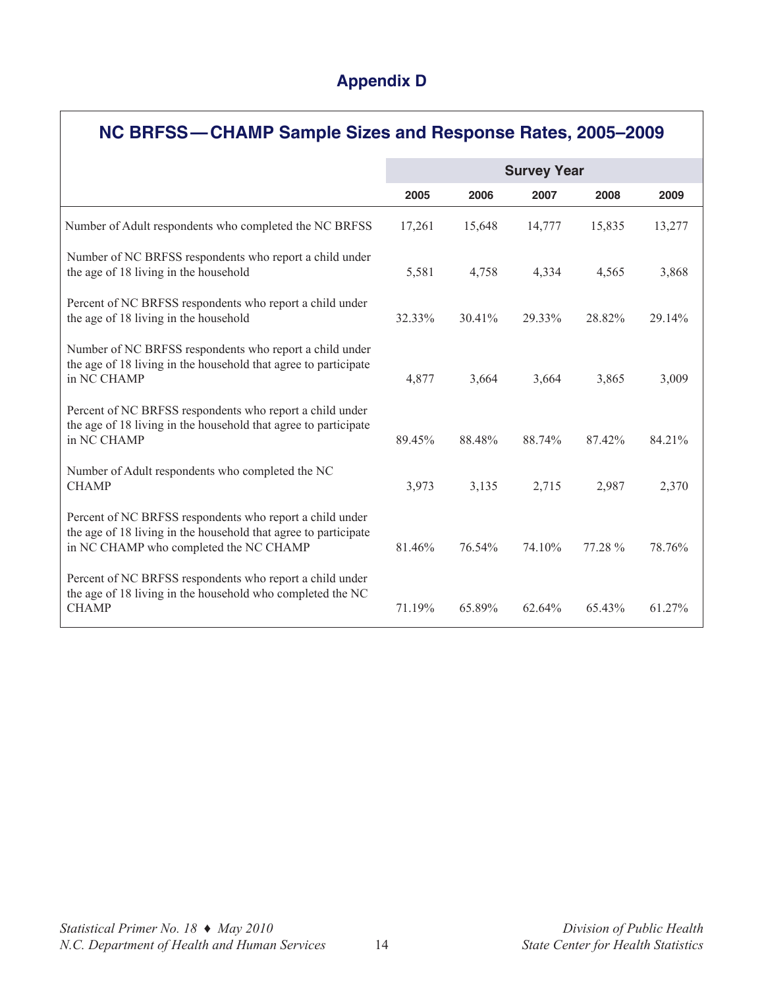# **Appendix D**

| NC BRFSS-CHAMP Sample Sizes and Response Rates, 2005-2009                                                                                                             |                    |        |        |         |        |  |  |
|-----------------------------------------------------------------------------------------------------------------------------------------------------------------------|--------------------|--------|--------|---------|--------|--|--|
|                                                                                                                                                                       | <b>Survey Year</b> |        |        |         |        |  |  |
|                                                                                                                                                                       | 2005               | 2006   | 2007   | 2008    | 2009   |  |  |
| Number of Adult respondents who completed the NC BRFSS                                                                                                                | 17,261             | 15,648 | 14,777 | 15,835  | 13,277 |  |  |
| Number of NC BRFSS respondents who report a child under<br>the age of 18 living in the household                                                                      | 5,581              | 4,758  | 4,334  | 4,565   | 3,868  |  |  |
| Percent of NC BRFSS respondents who report a child under<br>the age of 18 living in the household                                                                     | 32.33%             | 30.41% | 29.33% | 28.82%  | 29.14% |  |  |
| Number of NC BRFSS respondents who report a child under<br>the age of 18 living in the household that agree to participate<br>in NC CHAMP                             | 4,877              | 3,664  | 3,664  | 3,865   | 3,009  |  |  |
| Percent of NC BRFSS respondents who report a child under<br>the age of 18 living in the household that agree to participate<br>in NC CHAMP                            | 89.45%             | 88.48% | 88.74% | 87.42%  | 84.21% |  |  |
| Number of Adult respondents who completed the NC<br><b>CHAMP</b>                                                                                                      | 3,973              | 3,135  | 2,715  | 2,987   | 2,370  |  |  |
| Percent of NC BRFSS respondents who report a child under<br>the age of 18 living in the household that agree to participate<br>in NC CHAMP who completed the NC CHAMP | 81.46%             | 76.54% | 74.10% | 77.28 % | 78.76% |  |  |
| Percent of NC BRFSS respondents who report a child under<br>the age of 18 living in the household who completed the NC<br><b>CHAMP</b>                                | 71.19%             | 65.89% | 62.64% | 65.43%  | 61.27% |  |  |

 $\Gamma$